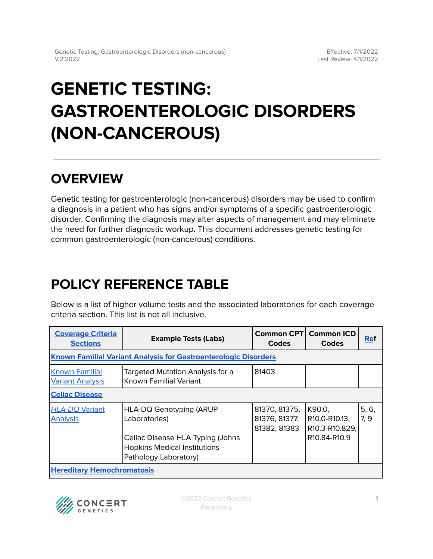# **GENETIC TESTING: GASTROENTEROLOGIC DISORDERS (NON-CANCEROUS)**

## **OVERVIEW**

Genetic testing for gastroenterologic (non-cancerous) disorders may be used to confirm a diagnosis in a patient who has signs and/or symptoms of a specific gastroenterologic disorder. Confirming the diagnosis may alter aspects of management and may eliminate the need for further diagnostic workup. This document addresses genetic testing for common gastroenterologic (non-cancerous) conditions.

## <span id="page-0-0"></span>**POLICY REFERENCE TABLE**

Below is a list of higher volume tests and the associated laboratories for each coverage criteria section. This list is not all inclusive.

| <b>Coverage Criteria</b><br><b>Sections</b>                            | <b>Example Tests (Labs)</b>                                                                        | Common CPT<br><b>Codes</b>                     | <b>Common ICD</b><br><b>Codes</b>         | <b>Ref</b>   |  |  |
|------------------------------------------------------------------------|----------------------------------------------------------------------------------------------------|------------------------------------------------|-------------------------------------------|--------------|--|--|
| <b>Known Familial Variant Analysis for Gastroenterologic Disorders</b> |                                                                                                    |                                                |                                           |              |  |  |
| <b>Known Familial</b><br><b>Variant Analysis</b>                       | Targeted Mutation Analysis for a<br>Known Familial Variant                                         | 81403                                          |                                           |              |  |  |
| <b>Celiac Disease</b>                                                  |                                                                                                    |                                                |                                           |              |  |  |
| <b>HLA-DQ Variant</b><br><b>Analysis</b>                               | <b>HLA-DQ Genotyping (ARUP</b><br>Laboratories)                                                    | 81370, 81375,<br>81376, 81377,<br>81382, 81383 | K90.0,<br>R10.0-R10.13,<br>R10.3-R10.829, | 5, 6,<br>7.9 |  |  |
|                                                                        | Celiac Disease HLA Typing (Johns<br><b>Hopkins Medical Institutions -</b><br>Pathology Laboratory) |                                                | R <sub>10.84</sub> -R <sub>10.9</sub>     |              |  |  |
| <b>Hereditary Hemochromatosis</b>                                      |                                                                                                    |                                                |                                           |              |  |  |

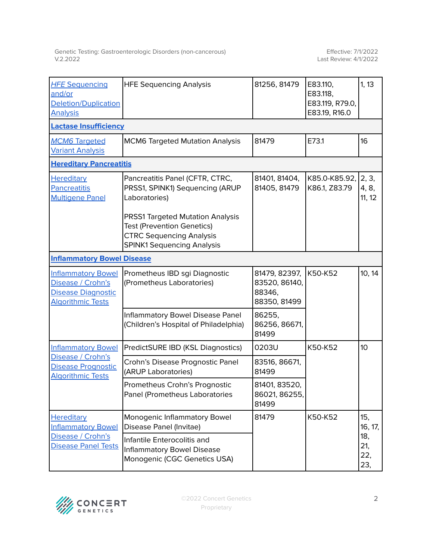| <b>HFE Sequencing</b><br>and/or<br><b>Deletion/Duplication</b><br><b>Analysis</b>                       | <b>HFE Sequencing Analysis</b>                                                                                                                       | 81256, 81479                                             | E83.110,<br>E83.118,<br>E83.119, R79.0,<br>E83.19, R16.0 | 1, 13                    |  |  |  |
|---------------------------------------------------------------------------------------------------------|------------------------------------------------------------------------------------------------------------------------------------------------------|----------------------------------------------------------|----------------------------------------------------------|--------------------------|--|--|--|
| <b>Lactase Insufficiency</b>                                                                            |                                                                                                                                                      |                                                          |                                                          |                          |  |  |  |
| <b>MCM6 Targeted</b><br><b>Variant Analysis</b>                                                         | <b>MCM6 Targeted Mutation Analysis</b>                                                                                                               | 81479                                                    | E73.1                                                    | 16                       |  |  |  |
| <b>Hereditary Pancreatitis</b>                                                                          |                                                                                                                                                      |                                                          |                                                          |                          |  |  |  |
| <b>Hereditary</b><br><b>Pancreatitis</b><br><b>Multigene Panel</b>                                      | Pancreatitis Panel (CFTR, CTRC,<br>PRSS1, SPINK1) Sequencing (ARUP<br>Laboratories)                                                                  | 81401, 81404,<br>81405, 81479                            | K85.0-K85.92,<br>K86.1, Z83.79                           | 2, 3,<br>4, 8,<br>11, 12 |  |  |  |
|                                                                                                         | <b>PRSS1 Targeted Mutation Analysis</b><br><b>Test (Prevention Genetics)</b><br><b>CTRC Sequencing Analysis</b><br><b>SPINK1 Sequencing Analysis</b> |                                                          |                                                          |                          |  |  |  |
| <b>Inflammatory Bowel Disease</b>                                                                       |                                                                                                                                                      |                                                          |                                                          |                          |  |  |  |
| <b>Inflammatory Bowel</b><br>Disease / Crohn's<br><b>Disease Diagnostic</b><br><b>Algorithmic Tests</b> | Prometheus IBD sgi Diagnostic<br>(Prometheus Laboratories)                                                                                           | 81479, 82397,<br>83520, 86140,<br>88346,<br>88350, 81499 | K50-K52                                                  | 10, 14                   |  |  |  |
|                                                                                                         | Inflammatory Bowel Disease Panel<br>(Children's Hospital of Philadelphia)                                                                            | 86255,<br>86256, 86671,<br>81499                         |                                                          |                          |  |  |  |
| <b>Inflammatory Bowel</b><br>Disease / Crohn's<br><b>Disease Prognostic</b><br><b>Algorithmic Tests</b> | PredictSURE IBD (KSL Diagnostics)                                                                                                                    | 0203U                                                    | K50-K52                                                  | 10 <sup>°</sup>          |  |  |  |
|                                                                                                         | Crohn's Disease Prognostic Panel<br>(ARUP Laboratories)                                                                                              | 83516, 86671,<br>81499                                   |                                                          |                          |  |  |  |
|                                                                                                         | Prometheus Crohn's Prognostic<br>Panel (Prometheus Laboratories                                                                                      | 81401, 83520,<br>86021, 86255,<br>81499                  |                                                          |                          |  |  |  |
| <b>Hereditary</b><br><b>Inflammatory Bowel</b><br>Disease / Crohn's<br><b>Disease Panel Tests</b>       | Monogenic Inflammatory Bowel<br>Disease Panel (Invitae)                                                                                              | 81479                                                    | K50-K52                                                  | 15,<br>16, 17,           |  |  |  |
|                                                                                                         | Infantile Enterocolitis and<br><b>Inflammatory Bowel Disease</b><br>Monogenic (CGC Genetics USA)                                                     |                                                          |                                                          | 18,<br>21,<br>22,<br>23, |  |  |  |

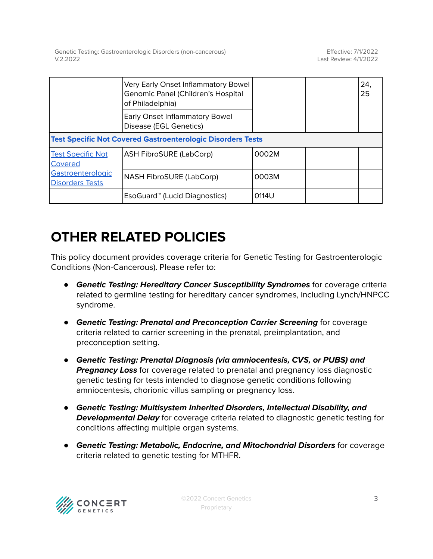|                                                                                    | Very Early Onset Inflammatory Bowel<br>Genomic Panel (Children's Hospital<br>of Philadelphia) |       |  | 24.<br>25 |  |  |
|------------------------------------------------------------------------------------|-----------------------------------------------------------------------------------------------|-------|--|-----------|--|--|
|                                                                                    | <b>Early Onset Inflammatory Bowel</b><br>Disease (EGL Genetics)                               |       |  |           |  |  |
| <b>Test Specific Not Covered Gastroenterologic Disorders Tests</b>                 |                                                                                               |       |  |           |  |  |
| <b>Test Specific Not</b><br>Covered<br>Gastroenterologic<br><b>Disorders Tests</b> | <b>ASH FibroSURE (LabCorp)</b>                                                                | 0002M |  |           |  |  |
|                                                                                    | <b>NASH FibroSURE (LabCorp)</b>                                                               | 0003M |  |           |  |  |
|                                                                                    | EsoGuard <sup>™</sup> (Lucid Diagnostics)                                                     | 0114U |  |           |  |  |

## **OTHER RELATED POLICIES**

This policy document provides coverage criteria for Genetic Testing for Gastroenterologic Conditions (Non-Cancerous). Please refer to:

- **Genetic Testing: Hereditary Cancer Susceptibility Syndromes** for coverage criteria related to germline testing for hereditary cancer syndromes, including Lynch/HNPCC syndrome.
- **Genetic Testing: Prenatal and Preconception Carrier Screening** for coverage criteria related to carrier screening in the prenatal, preimplantation, and preconception setting.
- **Genetic Testing: Prenatal Diagnosis (via amniocentesis, CVS, or PUBS) and Pregnancy Loss** for coverage related to prenatal and pregnancy loss diagnostic genetic testing for tests intended to diagnose genetic conditions following amniocentesis, chorionic villus sampling or pregnancy loss.
- **Genetic Testing: Multisystem Inherited Disorders, Intellectual Disability, and Developmental Delay** for coverage criteria related to diagnostic genetic testing for conditions affecting multiple organ systems.
- **Genetic Testing: Metabolic, Endocrine, and Mitochondrial Disorders** for coverage criteria related to genetic testing for MTHFR.

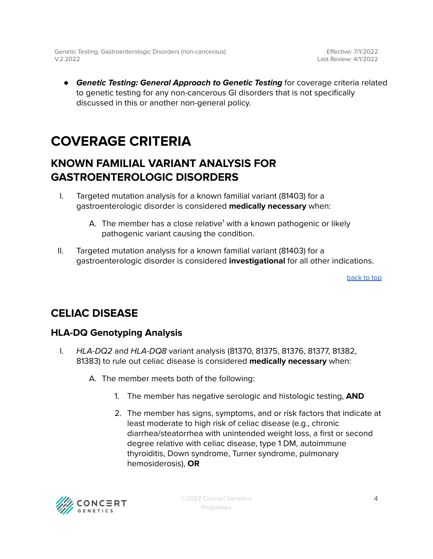Effective: 7/1/2022 Last Review: 4/1/2022

● **Genetic Testing: General Approach to Genetic Testing** for coverage criteria related to genetic testing for any non-cancerous GI disorders that is not specifically discussed in this or another non-general policy.

## <span id="page-3-0"></span>**COVERAGE CRITERIA**

### <span id="page-3-1"></span>**KNOWN FAMILIAL VARIANT ANALYSIS FOR GASTROENTEROLOGIC DISORDERS**

- I. Targeted mutation analysis for a known familial variant (81403) for a gastroenterologic disorder is considered **medically necessary** when:
	- A. The member has a close relative<sup>1</sup> with a known pathogenic or likely pathogenic variant causing the condition.
- II. Targeted mutation analysis for a known familial variant (81403) for a gastroenterologic disorder is considered **investigational** for all other indications.

[back](#page-0-0) to top

### <span id="page-3-2"></span>**CELIAC DISEASE**

#### <span id="page-3-3"></span>**HLA-DQ Genotyping Analysis**

- I. HLA-DQ2 and HLA-DQ8 variant analysis (81370, 81375, 81376, 81377, 81382, 81383) to rule out celiac disease is considered **medically necessary** when:
	- A. The member meets both of the following:
		- 1. The member has negative serologic and histologic testing, **AND**
		- 2. The member has signs, symptoms, and or risk factors that indicate at least moderate to high risk of celiac disease (e.g., chronic diarrhea/steatorrhea with unintended weight loss, a first or second degree relative with celiac disease, type 1 DM, autoimmune thyroiditis, Down syndrome, Turner syndrome, pulmonary hemosiderosis), **OR**

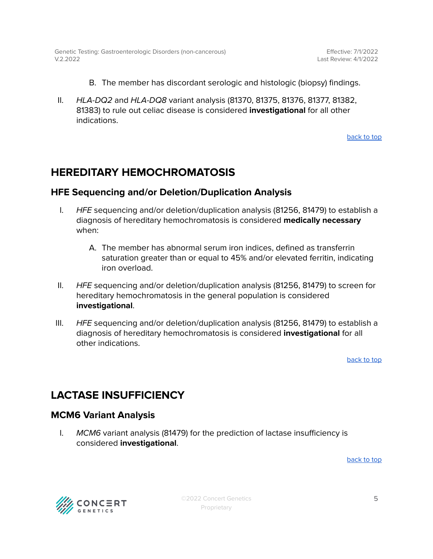- B. The member has discordant serologic and histologic (biopsy) findings.
- II. HLA-DQ2 and HLA-DQ8 variant analysis (81370, 81375, 81376, 81377, 81382, 81383) to rule out celiac disease is considered **investigational** for all other indications.

[back](#page-0-0) to top

### <span id="page-4-0"></span>**HEREDITARY HEMOCHROMATOSIS**

#### <span id="page-4-1"></span>**HFE Sequencing and/or Deletion/Duplication Analysis**

- I. HFE sequencing and/or deletion/duplication analysis (81256, 81479) to establish a diagnosis of hereditary hemochromatosis is considered **medically necessary** when:
	- A. The member has abnormal serum iron indices, defined as transferrin saturation greater than or equal to 45% and/or elevated ferritin, indicating iron overload.
- II. HFE sequencing and/or deletion/duplication analysis (81256, 81479) to screen for hereditary hemochromatosis in the general population is considered **investigational**.
- III.  $HFE$  sequencing and/or deletion/duplication analysis (81256, 81479) to establish a diagnosis of hereditary hemochromatosis is considered **investigational** for all other indications.

[back](#page-0-0) to top

### <span id="page-4-2"></span>**LACTASE INSUFFICIENCY**

#### <span id="page-4-3"></span>**MCM6 Variant Analysis**

I. MCM6 variant analysis (81479) for the prediction of lactase insufficiency is considered **investigational**.

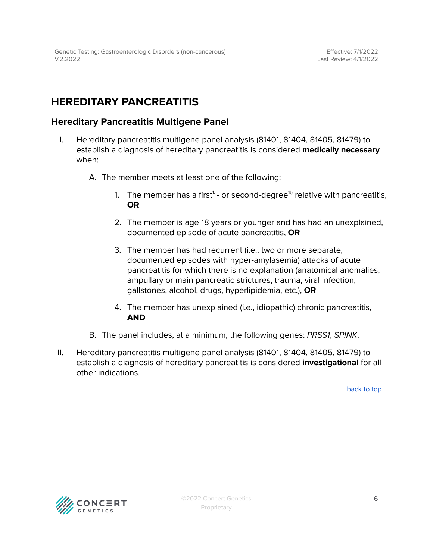### <span id="page-5-0"></span>**HEREDITARY PANCREATITIS**

#### <span id="page-5-1"></span>**Hereditary Pancreatitis Multigene Panel**

- I. Hereditary pancreatitis multigene panel analysis (81401, 81404, 81405, 81479) to establish a diagnosis of hereditary pancreatitis is considered **medically necessary** when:
	- A. The member meets at least one of the following:
		- 1. The member has a first $^{\text{1a}}$  or second-degree $^{\text{1b}}$  relative with pancreatitis, **OR**
		- 2. The member is age 18 years or younger and has had an unexplained, documented episode of acute pancreatitis, **OR**
		- 3. The member has had recurrent (i.e., two or more separate, documented episodes with hyper-amylasemia) attacks of acute pancreatitis for which there is no explanation (anatomical anomalies, ampullary or main pancreatic strictures, trauma, viral infection, gallstones, alcohol, drugs, hyperlipidemia, etc.), **OR**
		- 4. The member has unexplained (i.e., idiopathic) chronic pancreatitis, **AND**
	- B. The panel includes, at a minimum, the following genes: PRSS1, SPINK.
- II. Hereditary pancreatitis multigene panel analysis (81401, 81404, 81405, 81479) to establish a diagnosis of hereditary pancreatitis is considered **investigational** for all other indications.

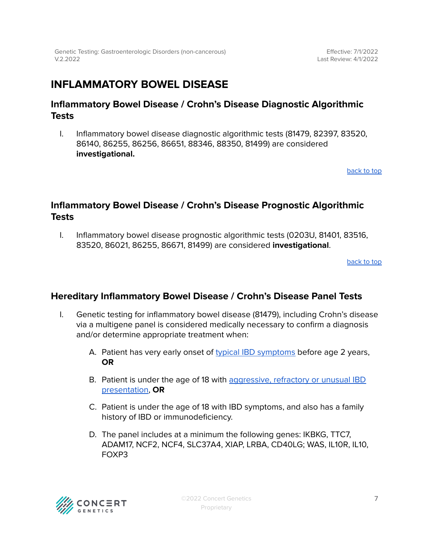### <span id="page-6-0"></span>**INFLAMMATORY BOWEL DISEASE**

#### <span id="page-6-1"></span>**Inflammatory Bowel Disease / Crohn's Disease Diagnostic Algorithmic Tests**

I. Inflammatory bowel disease diagnostic algorithmic tests (81479, 82397, 83520, 86140, 86255, 86256, 86651, 88346, 88350, 81499) are considered **investigational.**

[back](#page-0-0) to top

#### <span id="page-6-2"></span>**Inflammatory Bowel Disease / Crohn's Disease Prognostic Algorithmic Tests**

I. Inflammatory bowel disease prognostic algorithmic tests (0203U, 81401, 83516, 83520, 86021, 86255, 86671, 81499) are considered **investigational**.

[back](#page-0-0) to top

#### <span id="page-6-3"></span>**Hereditary Inflammatory Bowel Disease / Crohn's Disease Panel Tests**

- I. Genetic testing for inflammatory bowel disease (81479), including Crohn's disease via a multigene panel is considered medically necessary to confirm a diagnosis and/or determine appropriate treatment when:
	- A. Patient has very early onset of typical IBD [symptoms](#page-7-1) before age 2 years, **OR**
	- B. Patient is under the age of 18 with [aggressive,](#page-11-0) refractory or unusual IBD [presentation](#page-11-0), **OR**
	- C. Patient is under the age of 18 with IBD symptoms, and also has a family history of IBD or immunodeficiency.
	- D. The panel includes at a minimum the following genes: IKBKG, TTC7, ADAM17, NCF2, NCF4, SLC37A4, XIAP, LRBA, CD40LG; WAS, IL10R, IL10, FOXP3

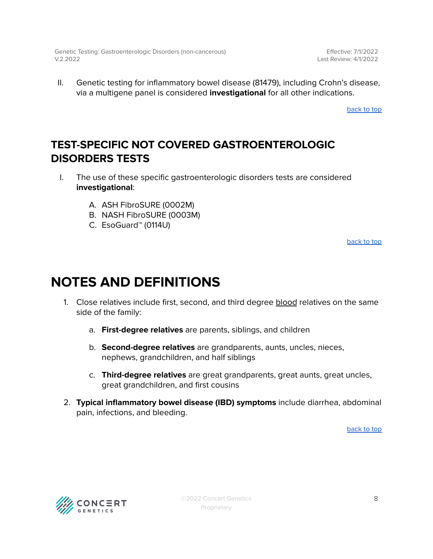Effective: 7/1/2022 Last Review: 4/1/2022

II. Genetic testing for inflammatory bowel disease (81479), including Crohn's disease, via a multigene panel is considered **investigational** for all other indications.

[back](#page-0-0) to top

### <span id="page-7-0"></span>**TEST-SPECIFIC NOT COVERED GASTROENTEROLOGIC DISORDERS TESTS**

- I. The use of these specific gastroenterologic disorders tests are considered **investigational**:
	- A. ASH FibroSURE (0002M)
	- B. NASH FibroSURE (0003M)
	- C. EsoGuard™ (0114U)

[back](#page-0-0) to top

## <span id="page-7-1"></span>**NOTES AND DEFINITIONS**

- 1. Close relatives include first, second, and third degree blood relatives on the same side of the family:
	- a. **First-degree relatives** are parents, siblings, and children
	- b. **Second-degree relatives** are grandparents, aunts, uncles, nieces, nephews, grandchildren, and half siblings
	- c. **Third-degree relatives** are great grandparents, great aunts, great uncles, great grandchildren, and first cousins
- 2. **Typical inflammatory bowel disease (IBD) symptoms** include diarrhea, abdominal pain, infections, and bleeding.

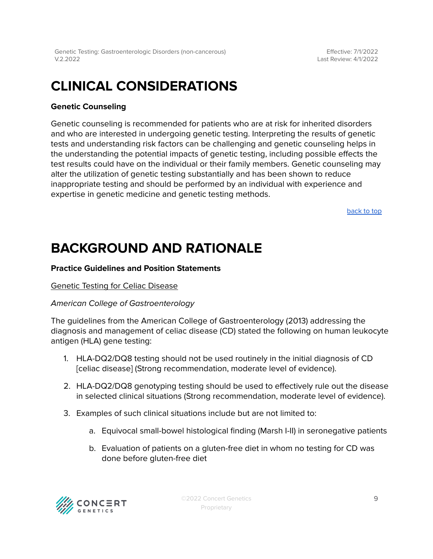Effective: 7/1/2022 Last Review: 4/1/2022

## **CLINICAL CONSIDERATIONS**

#### **Genetic Counseling**

Genetic counseling is recommended for patients who are at risk for inherited disorders and who are interested in undergoing genetic testing. Interpreting the results of genetic tests and understanding risk factors can be challenging and genetic counseling helps in the understanding the potential impacts of genetic testing, including possible effects the test results could have on the individual or their family members. Genetic counseling may alter the utilization of genetic testing substantially and has been shown to reduce inappropriate testing and should be performed by an individual with experience and expertise in genetic medicine and genetic testing methods.

[back](#page-0-0) to top

### **BACKGROUND AND RATIONALE**

#### **Practice Guidelines and Position Statements**

#### Genetic Testing for Celiac Disease

#### American College of Gastroenterology

The guidelines from the American College of Gastroenterology (2013) addressing the diagnosis and management of celiac disease (CD) stated the following on human leukocyte antigen (HLA) gene testing:

- 1. HLA-DQ2/DQ8 testing should not be used routinely in the initial diagnosis of CD [celiac disease] (Strong recommendation, moderate level of evidence).
- 2. HLA-DQ2/DQ8 genotyping testing should be used to effectively rule out the disease in selected clinical situations (Strong recommendation, moderate level of evidence).
- 3. Examples of such clinical situations include but are not limited to:
	- a. Equivocal small-bowel histological finding (Marsh I-II) in seronegative patients
	- b. Evaluation of patients on a gluten-free diet in whom no testing for CD was done before gluten-free diet

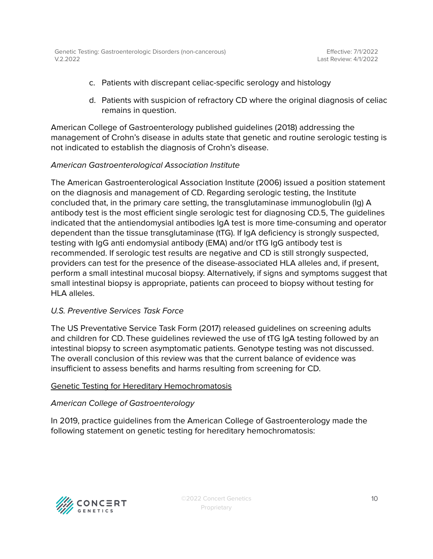- c. Patients with discrepant celiac-specific serology and histology
- d. Patients with suspicion of refractory CD where the original diagnosis of celiac remains in question.

American College of Gastroenterology published guidelines (2018) addressing the management of Crohn's disease in adults state that genetic and routine serologic testing is not indicated to establish the diagnosis of Crohn's disease.

#### American Gastroenterological Association Institute

The American Gastroenterological Association Institute (2006) issued a position statement on the diagnosis and management of CD. Regarding serologic testing, the Institute concluded that, in the primary care setting, the transglutaminase immunoglobulin (Ig) A antibody test is the most efficient single serologic test for diagnosing CD.5, The guidelines indicated that the antiendomysial antibodies IgA test is more time-consuming and operator dependent than the tissue transglutaminase (tTG). If IgA deficiency is strongly suspected, testing with IgG anti endomysial antibody (EMA) and/or tTG IgG antibody test is recommended. If serologic test results are negative and CD is still strongly suspected, providers can test for the presence of the disease-associated HLA alleles and, if present, perform a small intestinal mucosal biopsy. Alternatively, if signs and symptoms suggest that small intestinal biopsy is appropriate, patients can proceed to biopsy without testing for HLA alleles

#### U.S. Preventive Services Task Force

The US Preventative Service Task Form (2017) released guidelines on screening adults and children for CD. These guidelines reviewed the use of tTG IgA testing followed by an intestinal biopsy to screen asymptomatic patients. Genotype testing was not discussed. The overall conclusion of this review was that the current balance of evidence was insufficient to assess benefits and harms resulting from screening for CD.

#### Genetic Testing for Hereditary Hemochromatosis

#### American College of Gastroenterology

In 2019, practice guidelines from the American College of Gastroenterology made the following statement on genetic testing for hereditary hemochromatosis:

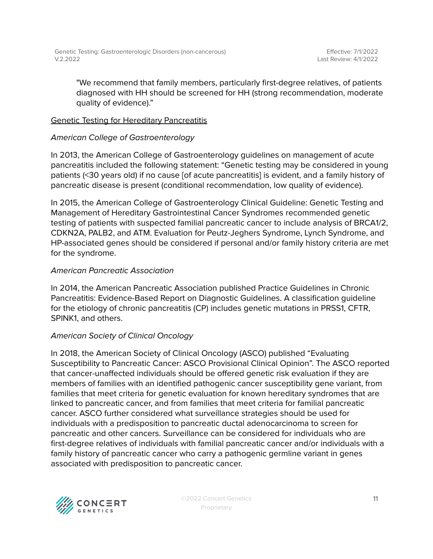"We recommend that family members, particularly first-degree relatives, of patients diagnosed with HH should be screened for HH (strong recommendation, moderate quality of evidence)."

#### Genetic Testing for Hereditary Pancreatitis

#### American College of Gastroenterology

In 2013, the American College of Gastroenterology guidelines on management of acute pancreatitis included the following statement: "Genetic testing may be considered in young patients (<30 years old) if no cause [of acute pancreatitis] is evident, and a family history of pancreatic disease is present (conditional recommendation, low quality of evidence).

In 2015, the American College of Gastroenterology Clinical Guideline: Genetic Testing and Management of Hereditary Gastrointestinal Cancer Syndromes recommended genetic testing of patients with suspected familial pancreatic cancer to include analysis of BRCA1/2, CDKN2A, PALB2, and ATM. Evaluation for Peutz-Jeghers Syndrome, Lynch Syndrome, and HP-associated genes should be considered if personal and/or family history criteria are met for the syndrome.

#### American Pancreatic Association

In 2014, the American Pancreatic Association published Practice Guidelines in Chronic Pancreatitis: Evidence-Based Report on Diagnostic Guidelines. A classification guideline for the etiology of chronic pancreatitis (CP) includes genetic mutations in PRSS1, CFTR, SPINK1, and others.

#### American Society of Clinical Oncology

In 2018, the American Society of Clinical Oncology (ASCO) published "Evaluating Susceptibility to Pancreatic Cancer: ASCO Provisional Clinical Opinion". The ASCO reported that cancer-unaffected individuals should be offered genetic risk evaluation if they are members of families with an identified pathogenic cancer susceptibility gene variant, from families that meet criteria for genetic evaluation for known hereditary syndromes that are linked to pancreatic cancer, and from families that meet criteria for familial pancreatic cancer. ASCO further considered what surveillance strategies should be used for individuals with a predisposition to pancreatic ductal adenocarcinoma to screen for pancreatic and other cancers. Surveillance can be considered for individuals who are first-degree relatives of individuals with familial pancreatic cancer and/or individuals with a family history of pancreatic cancer who carry a pathogenic germline variant in genes associated with predisposition to pancreatic cancer.

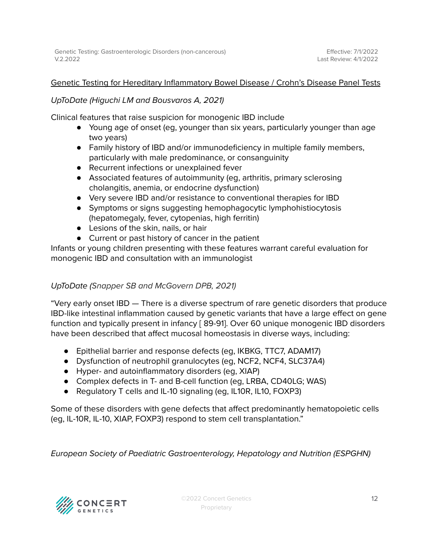#### <span id="page-11-0"></span>Genetic Testing for Hereditary Inflammatory Bowel Disease / Crohn's Disease Panel Tests

#### UpToDate (Higuchi LM and Bousvaros A, 2021)

Clinical features that raise suspicion for monogenic IBD include

- Young age of onset (eg, younger than six years, particularly younger than age two years)
- Family history of IBD and/or immunodeficiency in multiple family members, particularly with male predominance, or consanguinity
- Recurrent infections or unexplained fever
- Associated features of autoimmunity (eg, arthritis, primary sclerosing cholangitis, anemia, or endocrine dysfunction)
- Very severe IBD and/or resistance to conventional therapies for IBD
- Symptoms or signs suggesting hemophagocytic lymphohistiocytosis (hepatomegaly, fever, cytopenias, high ferritin)
- Lesions of the skin, nails, or hair
- Current or past history of cancer in the patient

Infants or young children presenting with these features warrant careful evaluation for monogenic IBD and consultation with an immunologist

#### UpToDate (Snapper SB and McGovern DPB, 2021)

"Very early onset IBD — There is a diverse spectrum of rare genetic disorders that produce IBD-like intestinal inflammation caused by genetic variants that have a large effect on gene function and typically present in infancy [ 89-91]. Over 60 unique monogenic IBD disorders have been described that affect mucosal homeostasis in diverse ways, including:

- Epithelial barrier and response defects (eg, IKBKG, TTC7, ADAM17)
- Dysfunction of neutrophil granulocytes (eg, NCF2, NCF4, SLC37A4)
- Hyper- and autoinflammatory disorders (eg, XIAP)
- Complex defects in T- and B-cell function (eg, LRBA, CD40LG; WAS)
- Regulatory T cells and IL-10 signaling (eg, IL10R, IL10, FOXP3)

Some of these disorders with gene defects that affect predominantly hematopoietic cells (eg, IL-10R, IL-10, XIAP, FOXP3) respond to stem cell transplantation."

European Society of Paediatric Gastroenterology, Hepatology and Nutrition (ESPGHN)

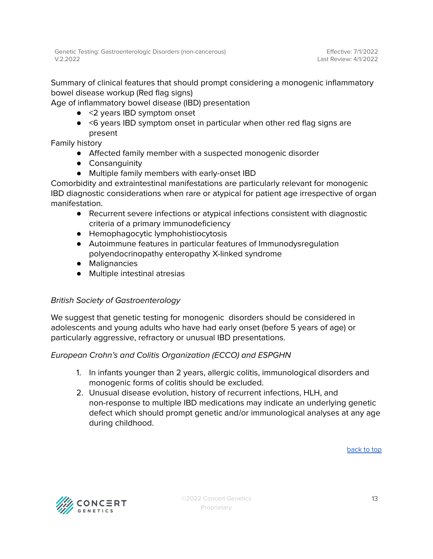Summary of clinical features that should prompt considering a monogenic inflammatory bowel disease workup (Red flag signs)

Age of inflammatory bowel disease (IBD) presentation

- <2 years IBD symptom onset
- <6 years IBD symptom onset in particular when other red flag signs are present

Family history

- Affected family member with a suspected monogenic disorder
- Consanguinity
- Multiple family members with early-onset IBD

Comorbidity and extraintestinal manifestations are particularly relevant for monogenic IBD diagnostic considerations when rare or atypical for patient age irrespective of organ manifestation.

- Recurrent severe infections or atypical infections consistent with diagnostic criteria of a primary immunodeficiency
- Hemophagocytic lymphohistiocytosis
- Autoimmune features in particular features of Immunodysregulation polyendocrinopathy enteropathy X-linked syndrome
- Malignancies
- Multiple intestinal atresias

#### British Society of Gastroenterology

We suggest that genetic testing for monogenic disorders should be considered in adolescents and young adults who have had early onset (before 5 years of age) or particularly aggressive, refractory or unusual IBD presentations.

#### European Crohn's and Colitis Organization (ECCO) and ESPGHN

- 1. In infants younger than 2 years, allergic colitis, immunological disorders and monogenic forms of colitis should be excluded.
- 2. Unusual disease evolution, history of recurrent infections, HLH, and non-response to multiple IBD medications may indicate an underlying genetic defect which should prompt genetic and/or immunological analyses at any age during childhood.

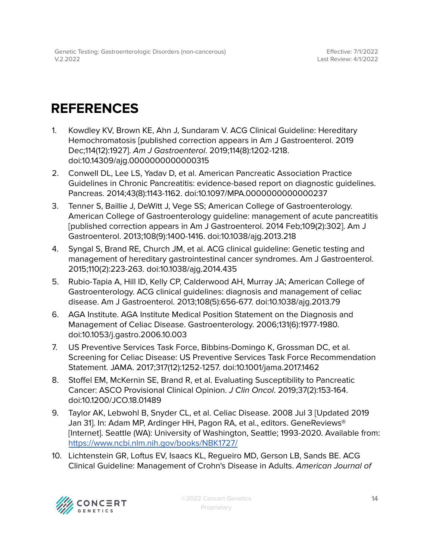## <span id="page-13-0"></span>**REFERENCES**

- 1. Kowdley KV, Brown KE, Ahn J, Sundaram V. ACG Clinical Guideline: Hereditary Hemochromatosis [published correction appears in Am J Gastroenterol. 2019 Dec;114(12):1927]. Am J Gastroenterol. 2019;114(8):1202-1218. doi:10.14309/ajg.0000000000000315
- 2. Conwell DL, Lee LS, Yadav D, et al. American Pancreatic Association Practice Guidelines in Chronic Pancreatitis: evidence-based report on diagnostic guidelines. Pancreas. 2014;43(8):1143-1162. doi:10.1097/MPA.0000000000000237
- 3. Tenner S, Baillie J, DeWitt J, Vege SS; American College of Gastroenterology. American College of Gastroenterology guideline: management of acute pancreatitis [published correction appears in Am J Gastroenterol. 2014 Feb;109(2):302]. Am J Gastroenterol. 2013;108(9):1400-1416. doi:10.1038/ajg.2013.218
- 4. Syngal S, Brand RE, Church JM, et al. ACG clinical guideline: Genetic testing and management of hereditary gastrointestinal cancer syndromes. Am J Gastroenterol. 2015;110(2):223-263. doi:10.1038/ajg.2014.435
- 5. Rubio-Tapia A, Hill ID, Kelly CP, Calderwood AH, Murray JA; American College of Gastroenterology. ACG clinical guidelines: diagnosis and management of celiac disease. Am J Gastroenterol. 2013;108(5):656-677. doi:10.1038/ajg.2013.79
- 6. AGA Institute. AGA Institute Medical Position Statement on the Diagnosis and Management of Celiac Disease. Gastroenterology. 2006;131(6):1977-1980. doi:10.1053/j.gastro.2006.10.003
- 7. US Preventive Services Task Force, Bibbins-Domingo K, Grossman DC, et al. Screening for Celiac Disease: US Preventive Services Task Force Recommendation Statement. JAMA. 2017;317(12):1252-1257. doi:10.1001/jama.2017.1462
- 8. Stoffel EM, McKernin SE, Brand R, et al. Evaluating Susceptibility to Pancreatic Cancer: ASCO Provisional Clinical Opinion. J Clin Oncol. 2019;37(2):153-164. doi:10.1200/JCO.18.01489
- 9. Taylor AK, Lebwohl B, Snyder CL, et al. Celiac Disease. 2008 Jul 3 [Updated 2019 Jan 31]. In: Adam MP, Ardinger HH, Pagon RA, et al., editors. GeneReviews® [Internet]. Seattle (WA): University of Washington, Seattle; 1993-2020. Available from: <https://www.ncbi.nlm.nih.gov/books/NBK1727/>
- 10. Lichtenstein GR, Loftus EV, Isaacs KL, Regueiro MD, Gerson LB, Sands BE. ACG Clinical Guideline: Management of Crohn's Disease in Adults. American Journal of

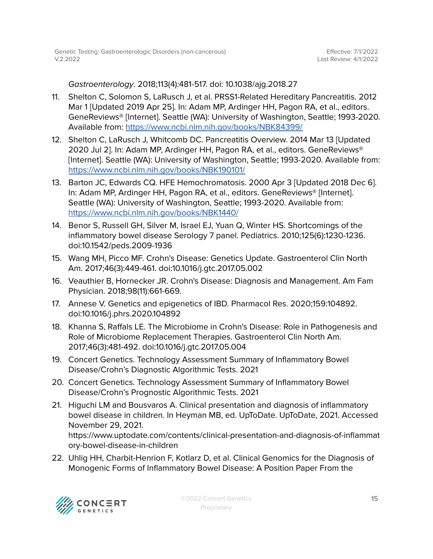Gastroenterology. 2018;113(4):481-517. doi: 10.1038/ajg.2018.27

- 11. Shelton C, Solomon S, LaRusch J, et al. PRSS1-Related Hereditary Pancreatitis. 2012 Mar 1 [Updated 2019 Apr 25]. In: Adam MP, Ardinger HH, Pagon RA, et al., editors. GeneReviews® [Internet]. Seattle (WA): University of Washington, Seattle; 1993-2020. Available from: <https://www.ncbi.nlm.nih.gov/books/NBK84399/>
- 12. Shelton C, LaRusch J, Whitcomb DC. Pancreatitis Overview. 2014 Mar 13 [Updated 2020 Jul 2]. In: Adam MP, Ardinger HH, Pagon RA, et al., editors. GeneReviews® [Internet]. Seattle (WA): University of Washington, Seattle; 1993-2020. Available from: <https://www.ncbi.nlm.nih.gov/books/NBK190101/>
- 13. Barton JC, Edwards CQ. HFE Hemochromatosis. 2000 Apr 3 [Updated 2018 Dec 6]. In: Adam MP, Ardinger HH, Pagon RA, et al., editors. GeneReviews® [Internet]. Seattle (WA): University of Washington, Seattle; 1993-2020. Available from: <https://www.ncbi.nlm.nih.gov/books/NBK1440/>
- 14. Benor S, Russell GH, Silver M, Israel EJ, Yuan Q, Winter HS. Shortcomings of the inflammatory bowel disease Serology 7 panel. Pediatrics. 2010;125(6):1230-1236. doi:10.1542/peds.2009-1936
- 15. Wang MH, Picco MF. Crohn's Disease: Genetics Update. Gastroenterol Clin North Am. 2017;46(3):449-461. doi:10.1016/j.gtc.2017.05.002
- 16. Veauthier B, Hornecker JR. Crohn's Disease: Diagnosis and Management. Am Fam Physician. 2018;98(11):661-669.
- 17. Annese V. Genetics and epigenetics of IBD. Pharmacol Res. 2020;159:104892. doi:10.1016/j.phrs.2020.104892
- 18. Khanna S, Raffals LE. The Microbiome in Crohn's Disease: Role in Pathogenesis and Role of Microbiome Replacement Therapies. Gastroenterol Clin North Am. 2017;46(3):481-492. doi:10.1016/j.gtc.2017.05.004
- 19. Concert Genetics. Technology Assessment Summary of Inflammatory Bowel Disease/Crohn's Diagnostic Algorithmic Tests. 2021
- 20. Concert Genetics. Technology Assessment Summary of Inflammatory Bowel Disease/Crohn's Prognostic Algorithmic Tests. 2021
- 21. Higuchi LM and Bousvaros A. Clinical presentation and diagnosis of inflammatory bowel disease in children. In Heyman MB, ed. UpToDate. UpToDate, 2021. Accessed November 29, 2021. [https://www.uptodate.com/contents/clinical-presentation-and-diagnosis-of-inflammat](https://www.uptodate.com/contents/clinical-presentation-and-diagnosis-of-inflammatory-bowel-disease-in-children?search=Clinical+presentation+and+diagnosis+of+inflammatory+bowel+disease+in+children&source=search_result&selectedTitle=1%7E150&usage_type=default&display_rank=1) [ory-bowel-disease-in-children](https://www.uptodate.com/contents/clinical-presentation-and-diagnosis-of-inflammatory-bowel-disease-in-children?search=Clinical+presentation+and+diagnosis+of+inflammatory+bowel+disease+in+children&source=search_result&selectedTitle=1%7E150&usage_type=default&display_rank=1)
- 22. Uhlig HH, Charbit-Henrion F, Kotlarz D, et al. Clinical Genomics for the Diagnosis of Monogenic Forms of Inflammatory Bowel Disease: A Position Paper From the